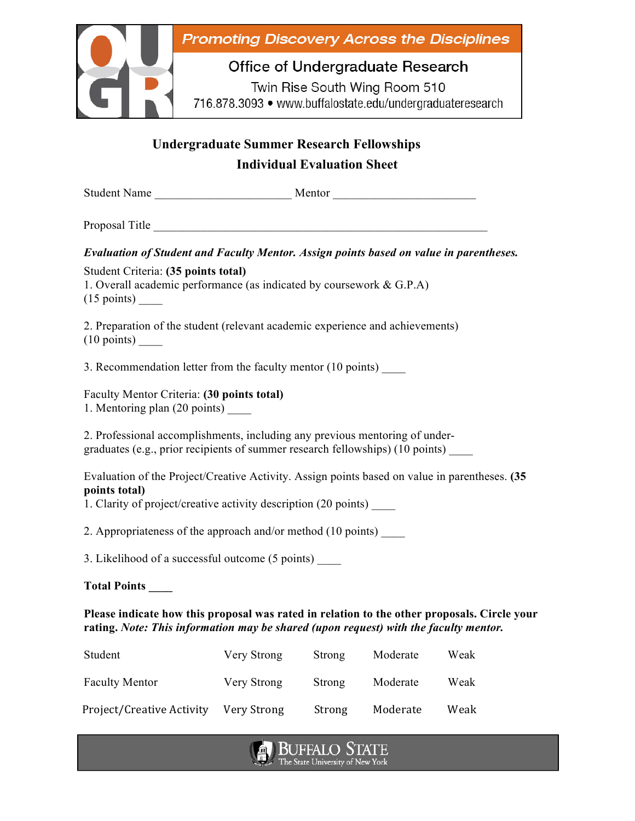

## **Undergraduate Summer Research Fellowships Individual Evaluation Sheet**

| Evaluation of Student and Faculty Mentor. Assign points based on value in parentheses.                                                                                                   |
|------------------------------------------------------------------------------------------------------------------------------------------------------------------------------------------|
| Student Criteria: (35 points total)<br>1. Overall academic performance (as indicated by coursework $& G.P.A$ )                                                                           |
| 2. Preparation of the student (relevant academic experience and achievements)<br>$(10 \text{ points})$ <sub>____</sub>                                                                   |
| 3. Recommendation letter from the faculty mentor (10 points) ______                                                                                                                      |
| Faculty Mentor Criteria: (30 points total)<br>1. Mentoring plan (20 points) ______                                                                                                       |
| 2. Professional accomplishments, including any previous mentoring of under-<br>graduates (e.g., prior recipients of summer research fellowships) (10 points) ___                         |
| Evaluation of the Project/Creative Activity. Assign points based on value in parentheses. (35<br>points total)<br>1. Clarity of project/creative activity description (20 points) ______ |
| 2. Appropriateness of the approach and/or method (10 points) ______                                                                                                                      |
| 3. Likelihood of a successful outcome (5 points) _____                                                                                                                                   |
| Total Points                                                                                                                                                                             |

## **Please indicate how this proposal was rated in relation to the other proposals. Circle your rating.** *Note: This information may be shared (upon request) with the faculty mentor.*

| Student                   | Very Strong | Strong | Moderate | Weak |
|---------------------------|-------------|--------|----------|------|
| <b>Faculty Mentor</b>     | Very Strong | Strong | Moderate | Weak |
| Project/Creative Activity | Very Strong | Strong | Moderate | Weak |